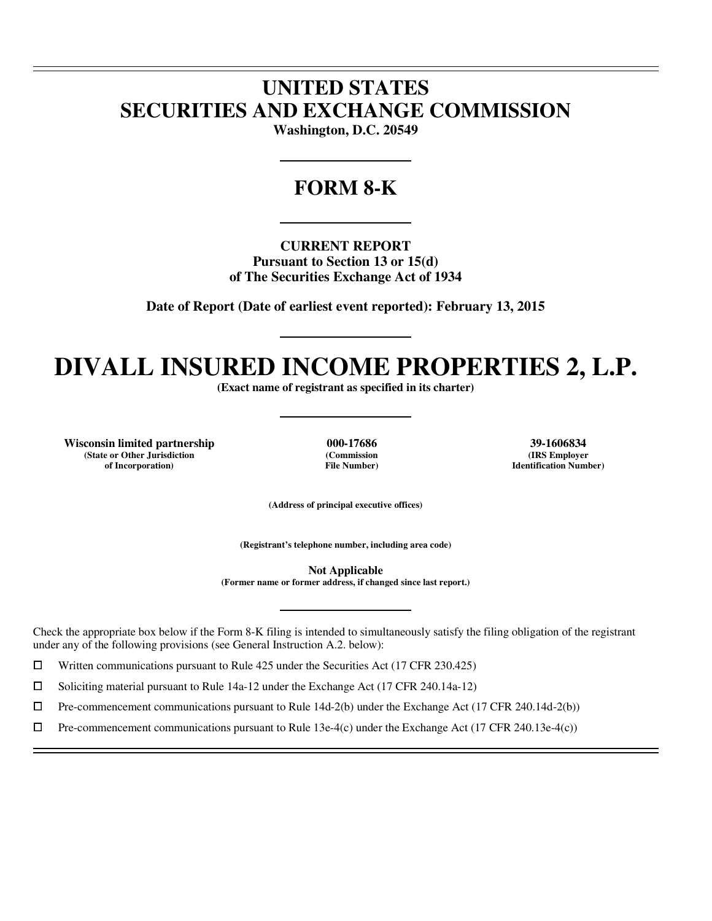## **UNITED STATES SECURITIES AND EXCHANGE COMMISSION**

**Washington, D.C. 20549** 

## **FORM 8-K**

**CURRENT REPORT Pursuant to Section 13 or 15(d) of The Securities Exchange Act of 1934** 

**Date of Report (Date of earliest event reported): February 13, 2015** 

# **DIVALL INSURED INCOME PROPERTIES 2, L.P.**

**(Exact name of registrant as specified in its charter)** 

**Wisconsin limited partnership 000-17686 39-1606834 (State or Other Jurisdiction of Incorporation)**

 $\overline{a}$  $\overline{a}$ 

 $\overline{a}$ 

**(Commission File Number)**

**(IRS Employer Identification Number)**

**(Address of principal executive offices)** 

**(Registrant's telephone number, including area code)** 

**Not Applicable (Former name or former address, if changed since last report.)** 

Check the appropriate box below if the Form 8-K filing is intended to simultaneously satisfy the filing obligation of the registrant under any of the following provisions (see General Instruction A.2. below):

 $□$  Written communications pursuant to Rule 425 under the Securities Act (17 CFR 230.425)<br>
□ Soliciting material pursuant to Rule 14a-12 under the Exchange Act (17 CFR 240.14a-12)

<p>\n 5oliciting material pursuit to Rule 14a-12 under the Exchange Act (17 CFR 240.14a-12)\n <math>\Box</math>\n</p>\n<p>\n Pre-component communications pursuit to Rule 14d-2(b) under the Exchange Act (17 CFR 240.14a-12)\n</p>

 $\Box$  Pre-commencement communications pursuant to Rule 14d-2(b) under the Exchange Act (17 CFR 240.14d-2(b))<br>  $\Box$  Pre-commencement communications pursuant to Rule 13e-4(c) under the Exchange Act (17 CFR 240.13e-4(c))

Pre-commencement communications pursuant to Rule 13e-4(c) under the Exchange Act (17 CFR 240.13e-4(c))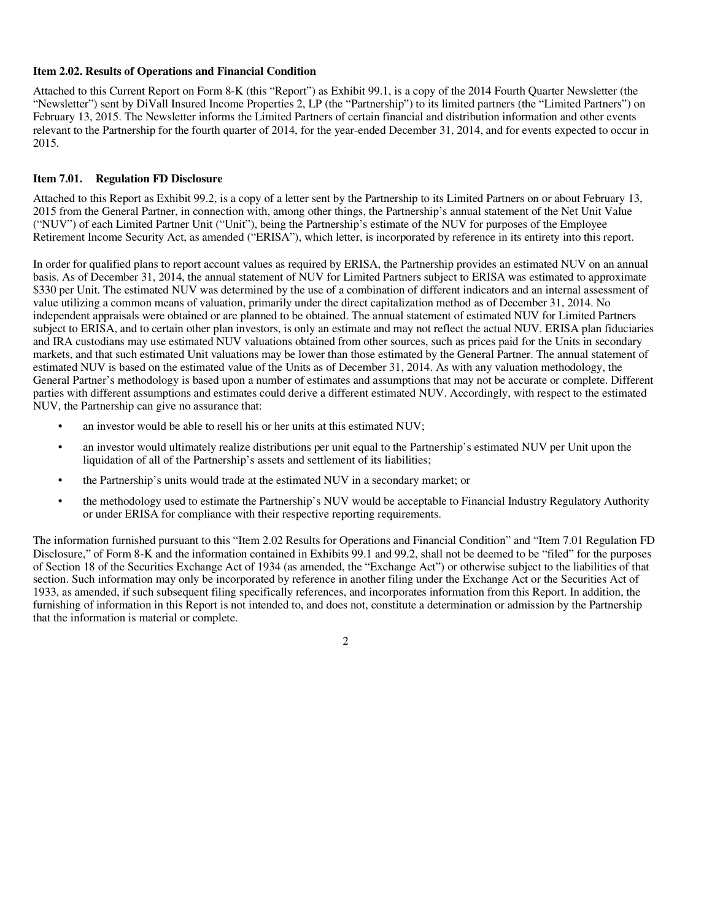#### **Item 2.02. Results of Operations and Financial Condition**

Attached to this Current Report on Form 8-K (this "Report") as Exhibit 99.1, is a copy of the 2014 Fourth Quarter Newsletter (the "Newsletter") sent by DiVall Insured Income Properties 2, LP (the "Partnership") to its limited partners (the "Limited Partners") on February 13, 2015. The Newsletter informs the Limited Partners of certain financial and distribution information and other events relevant to the Partnership for the fourth quarter of 2014, for the year-ended December 31, 2014, and for events expected to occur in 2015.

#### **Item 7.01. Regulation FD Disclosure**

Attached to this Report as Exhibit 99.2, is a copy of a letter sent by the Partnership to its Limited Partners on or about February 13, 2015 from the General Partner, in connection with, among other things, the Partnership's annual statement of the Net Unit Value ("NUV") of each Limited Partner Unit ("Unit"), being the Partnership's estimate of the NUV for purposes of the Employee Retirement Income Security Act, as amended ("ERISA"), which letter, is incorporated by reference in its entirety into this report.

In order for qualified plans to report account values as required by ERISA, the Partnership provides an estimated NUV on an annual basis. As of December 31, 2014, the annual statement of NUV for Limited Partners subject to ERISA was estimated to approximate \$330 per Unit. The estimated NUV was determined by the use of a combination of different indicators and an internal assessment of value utilizing a common means of valuation, primarily under the direct capitalization method as of December 31, 2014. No independent appraisals were obtained or are planned to be obtained. The annual statement of estimated NUV for Limited Partners subject to ERISA, and to certain other plan investors, is only an estimate and may not reflect the actual NUV. ERISA plan fiduciaries and IRA custodians may use estimated NUV valuations obtained from other sources, such as prices paid for the Units in secondary markets, and that such estimated Unit valuations may be lower than those estimated by the General Partner. The annual statement of estimated NUV is based on the estimated value of the Units as of December 31, 2014. As with any valuation methodology, the General Partner's methodology is based upon a number of estimates and assumptions that may not be accurate or complete. Different parties with different assumptions and estimates could derive a different estimated NUV. Accordingly, with respect to the estimated NUV, the Partnership can give no assurance that:

- an investor would be able to resell his or her units at this estimated NUV;
- an investor would ultimately realize distributions per unit equal to the Partnership's estimated NUV per Unit upon the liquidation of all of the Partnership's assets and settlement of its liabilities;
- the Partnership's units would trade at the estimated NUV in a secondary market; or
- the methodology used to estimate the Partnership's NUV would be acceptable to Financial Industry Regulatory Authority or under ERISA for compliance with their respective reporting requirements.

The information furnished pursuant to this "Item 2.02 Results for Operations and Financial Condition" and "Item 7.01 Regulation FD Disclosure," of Form 8-K and the information contained in Exhibits 99.1 and 99.2, shall not be deemed to be "filed" for the purposes of Section 18 of the Securities Exchange Act of 1934 (as amended, the "Exchange Act") or otherwise subject to the liabilities of that section. Such information may only be incorporated by reference in another filing under the Exchange Act or the Securities Act of 1933, as amended, if such subsequent filing specifically references, and incorporates information from this Report. In addition, the furnishing of information in this Report is not intended to, and does not, constitute a determination or admission by the Partnership that the information is material or complete.

2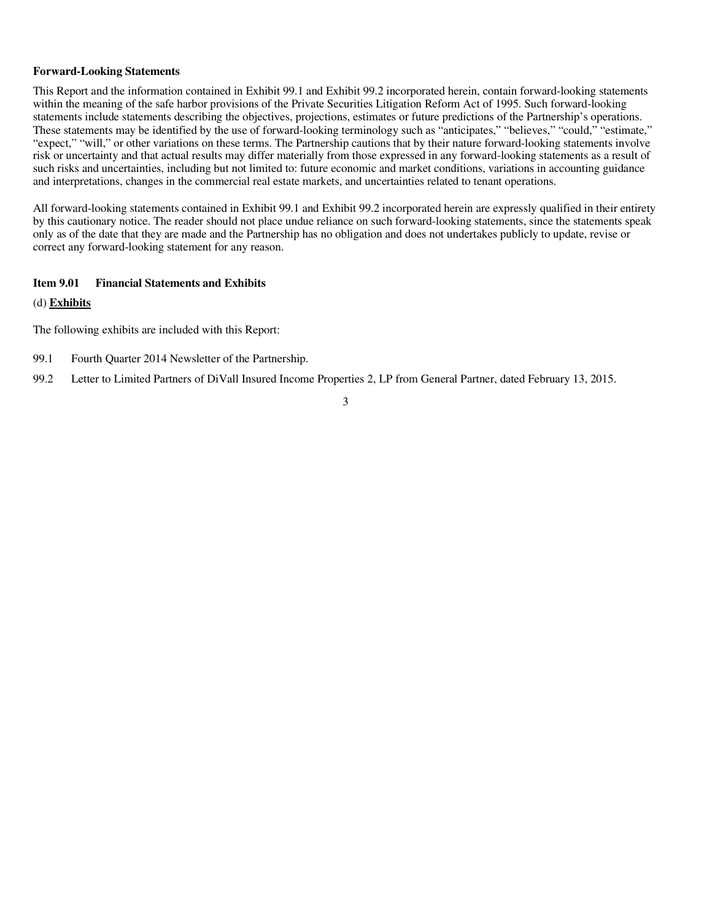#### **Forward-Looking Statements**

This Report and the information contained in Exhibit 99.1 and Exhibit 99.2 incorporated herein, contain forward-looking statements within the meaning of the safe harbor provisions of the Private Securities Litigation Reform Act of 1995. Such forward-looking statements include statements describing the objectives, projections, estimates or future predictions of the Partnership's operations. These statements may be identified by the use of forward-looking terminology such as "anticipates," "believes," "could," "estimate," "expect," "will," or other variations on these terms. The Partnership cautions that by their nature forward-looking statements involve risk or uncertainty and that actual results may differ materially from those expressed in any forward-looking statements as a result of such risks and uncertainties, including but not limited to: future economic and market conditions, variations in accounting guidance and interpretations, changes in the commercial real estate markets, and uncertainties related to tenant operations.

All forward-looking statements contained in Exhibit 99.1 and Exhibit 99.2 incorporated herein are expressly qualified in their entirety by this cautionary notice. The reader should not place undue reliance on such forward-looking statements, since the statements speak only as of the date that they are made and the Partnership has no obligation and does not undertakes publicly to update, revise or correct any forward-looking statement for any reason.

#### **Item 9.01 Financial Statements and Exhibits**

#### (d) **Exhibits**

The following exhibits are included with this Report:

- 99.1 Fourth Quarter 2014 Newsletter of the Partnership.
- 99.2 Letter to Limited Partners of DiVall Insured Income Properties 2, LP from General Partner, dated February 13, 2015.

#### 3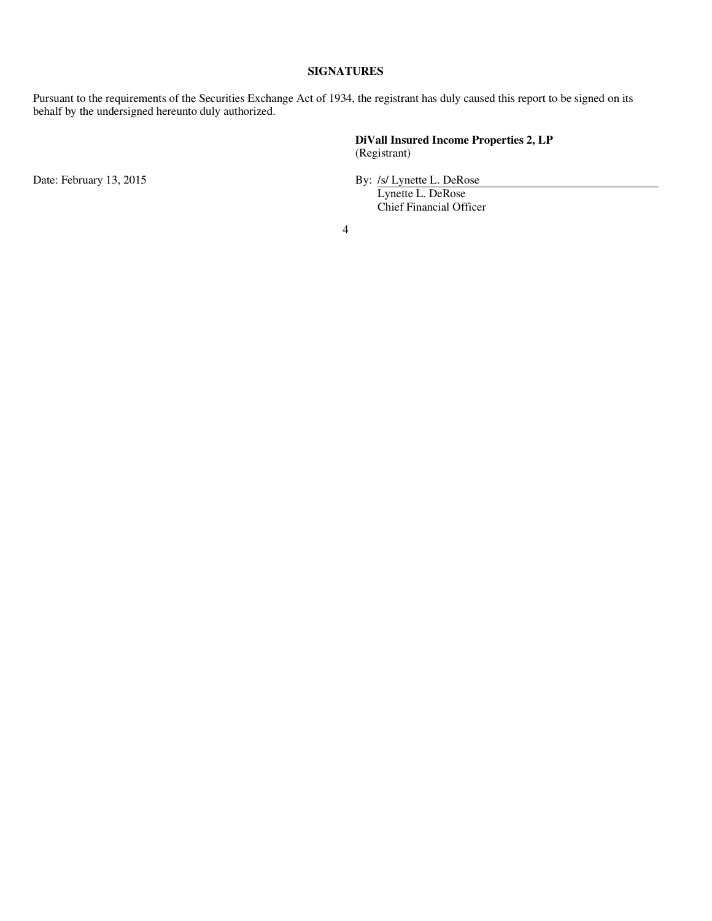#### **SIGNATURES**

Pursuant to the requirements of the Securities Exchange Act of 1934, the registrant has duly caused this report to be signed on its behalf by the undersigned hereunto duly authorized.

> **DiVall Insured Income Properties 2, LP** (Registrant)

Date: February 13, 2015 **By:** /s/ Lynette L. DeRose

Lynette L. DeRose Chief Financial Officer

4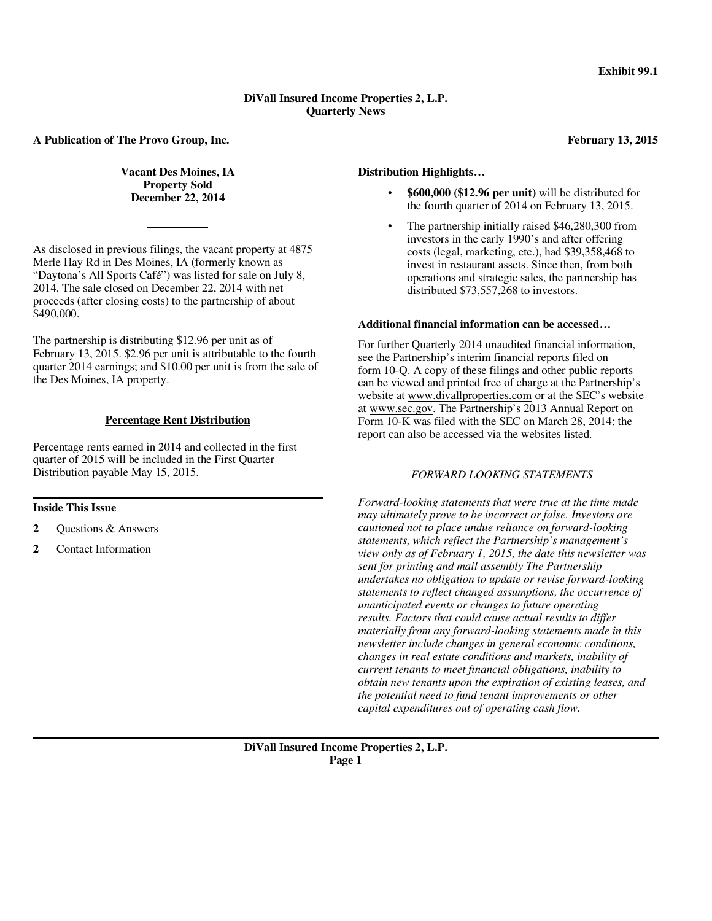#### **DiVall Insured Income Properties 2, L.P. Quarterly News**

**A Publication of The Provo Group, Inc.**

**Vacant Des Moines, IA Property Sold December 22, 2014** 

As disclosed in previous filings, the vacant property at 4875 Merle Hay Rd in Des Moines, IA (formerly known as "Daytona's All Sports Café") was listed for sale on July 8, 2014. The sale closed on December 22, 2014 with net proceeds (after closing costs) to the partnership of about \$490,000.

The partnership is distributing \$12.96 per unit as of February 13, 2015. \$2.96 per unit is attributable to the fourth quarter 2014 earnings; and \$10.00 per unit is from the sale of the Des Moines, IA property.

#### **Percentage Rent Distribution**

Percentage rents earned in 2014 and collected in the first quarter of 2015 will be included in the First Quarter Distribution payable May 15, 2015.

#### . **Inside This Issue**

- **2** Questions & Answers
- **2** Contact Information

#### **Distribution Highlights…**

- **\$600,000 (\$12.96 per unit)** will be distributed for the fourth quarter of 2014 on February 13, 2015.
- The partnership initially raised \$46,280,300 from investors in the early 1990's and after offering costs (legal, marketing, etc.), had \$39,358,468 to invest in restaurant assets. Since then, from both operations and strategic sales, the partnership has distributed \$73,557,268 to investors.

#### **Additional financial information can be accessed…**

For further Quarterly 2014 unaudited financial information, see the Partnership's interim financial reports filed on form 10-Q. A copy of these filings and other public reports can be viewed and printed free of charge at the Partnership's website at www.divallproperties.com or at the SEC's website at www.sec.gov. The Partnership's 2013 Annual Report on Form 10-K was filed with the SEC on March 28, 2014; the report can also be accessed via the websites listed.

#### *FORWARD LOOKING STATEMENTS*

*Forward-looking statements that were true at the time made may ultimately prove to be incorrect or false. Investors are cautioned not to place undue reliance on forward-looking statements, which reflect the Partnership's management's view only as of February 1, 2015, the date this newsletter was sent for printing and mail assembly The Partnership undertakes no obligation to update or revise forward-looking statements to reflect changed assumptions, the occurrence of unanticipated events or changes to future operating results. Factors that could cause actual results to differ materially from any forward-looking statements made in this newsletter include changes in general economic conditions, changes in real estate conditions and markets, inability of current tenants to meet financial obligations, inability to obtain new tenants upon the expiration of existing leases, and the potential need to fund tenant improvements or other capital expenditures out of operating cash flow.* 

#### **February 13, 2015**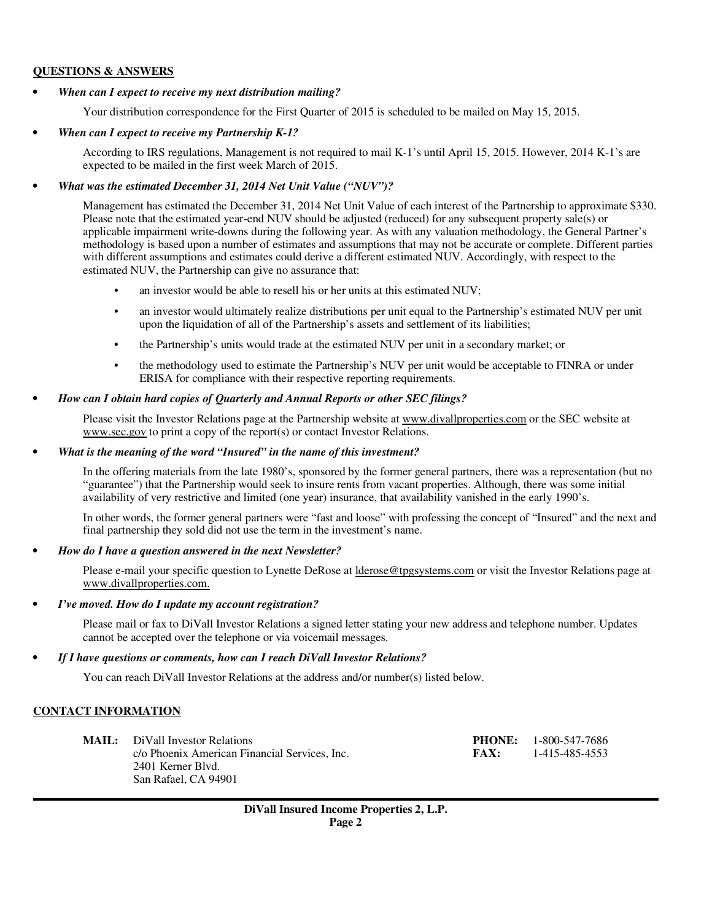#### **QUESTIONS & ANSWERS**

### *• When can I expect to receive my next distribution mailing?*

Your distribution correspondence for the First Quarter of 2015 is scheduled to be mailed on May 15, 2015.

## *• When can I expect to receive my Partnership K-1?*

According to IRS regulations, Management is not required to mail K-1's until April 15, 2015. However, 2014 K-1's are expected to be mailed in the first week March of 2015.

## *• What was the estimated December 31, 2014 Net Unit Value ("NUV")?*

Management has estimated the December 31, 2014 Net Unit Value of each interest of the Partnership to approximate \$330. Please note that the estimated year-end NUV should be adjusted (reduced) for any subsequent property sale(s) or applicable impairment write-downs during the following year. As with any valuation methodology, the General Partner's methodology is based upon a number of estimates and assumptions that may not be accurate or complete. Different parties with different assumptions and estimates could derive a different estimated NUV. Accordingly, with respect to the estimated NUV, the Partnership can give no assurance that:

- an investor would be able to resell his or her units at this estimated NUV;
- an investor would ultimately realize distributions per unit equal to the Partnership's estimated NUV per unit upon the liquidation of all of the Partnership's assets and settlement of its liabilities;
- the Partnership's units would trade at the estimated NUV per unit in a secondary market; or
- the methodology used to estimate the Partnership's NUV per unit would be acceptable to FINRA or under ERISA for compliance with their respective reporting requirements.

## *• How can I obtain hard copies of Quarterly and Annual Reports or other SEC filings?*

Please visit the Investor Relations page at the Partnership website at www.divallproperties.com or the SEC website at www.sec.gov to print a copy of the report(s) or contact Investor Relations.

## *• What is the meaning of the word "Insured" in the name of this investment?*

In the offering materials from the late 1980's, sponsored by the former general partners, there was a representation (but no "guarantee") that the Partnership would seek to insure rents from vacant properties. Although, there was some initial availability of very restrictive and limited (one year) insurance, that availability vanished in the early 1990's.

In other words, the former general partners were "fast and loose" with professing the concept of "Insured" and the next and final partnership they sold did not use the term in the investment's name.

## *• How do I have a question answered in the next Newsletter?*

Please e-mail your specific question to Lynette DeRose at lderose@tpgsystems.com or visit the Investor Relations page at www.divallproperties.com.

## *• I've moved. How do I update my account registration?*

Please mail or fax to DiVall Investor Relations a signed letter stating your new address and telephone number. Updates cannot be accepted over the telephone or via voicemail messages.

## *• If I have questions or comments, how can I reach DiVall Investor Relations?*

You can reach DiVall Investor Relations at the address and/or number(s) listed below.

## **CONTACT INFORMATION**

| <b>MAIL:</b> DiVall Investor Relations<br>c/o Phoenix American Financial Services, Inc.<br>2401 Kerner Blyd.<br>San Rafael, CA 94901 | FAX: | <b>PHONE:</b> 1-800-547-7686<br>1-415-485-4553 |
|--------------------------------------------------------------------------------------------------------------------------------------|------|------------------------------------------------|
|                                                                                                                                      |      |                                                |